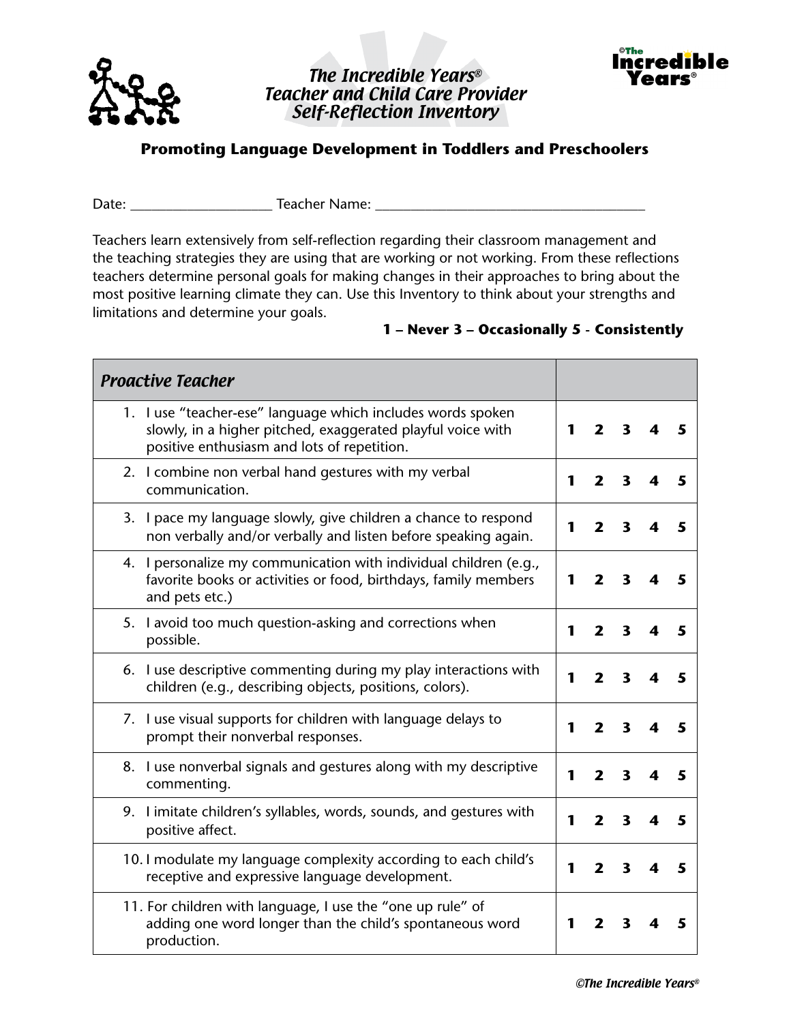

## The Incredible Years® Teacher and Child Care Provider Self-Reflection Inventory



## **Promoting Language Development in Toddlers and Preschoolers**

Date: \_\_\_\_\_\_\_\_\_\_\_\_\_\_\_\_\_\_\_\_ Teacher Name: \_\_\_\_\_\_\_\_\_\_\_\_\_\_\_\_\_\_\_\_\_\_\_\_\_\_\_\_\_\_\_\_\_\_\_\_\_\_

Teachers learn extensively from self-reflection regarding their classroom management and the teaching strategies they are using that are working or not working. From these reflections teachers determine personal goals for making changes in their approaches to bring about the most positive learning climate they can. Use this Inventory to think about your strengths and limitations and determine your goals.

## **1 – Never 3 – Occasionally 5 - Consistently**

| <b>Proactive Teacher</b>                                                                                                                                                  |              |                         |                         |   |   |
|---------------------------------------------------------------------------------------------------------------------------------------------------------------------------|--------------|-------------------------|-------------------------|---|---|
| 1. I use "teacher-ese" language which includes words spoken<br>slowly, in a higher pitched, exaggerated playful voice with<br>positive enthusiasm and lots of repetition. | $\mathbf{1}$ | $\overline{\mathbf{z}}$ | 3                       |   | 5 |
| 2. I combine non verbal hand gestures with my verbal<br>communication.                                                                                                    | 1            | $\overline{\mathbf{2}}$ | $\overline{\mathbf{3}}$ | 4 | 5 |
| 3. I pace my language slowly, give children a chance to respond<br>non verbally and/or verbally and listen before speaking again.                                         | 1            | $\overline{2}$          | $\mathbf{3}$            | 4 | 5 |
| 4. I personalize my communication with individual children (e.g.,<br>favorite books or activities or food, birthdays, family members<br>and pets etc.)                    | 1            | $\mathbf{2}$            | $\mathbf{3}$            | 4 | 5 |
| 5. I avoid too much question-asking and corrections when<br>possible.                                                                                                     | 1            | $\overline{2}$          | $\overline{\mathbf{3}}$ | 4 | 5 |
| 6. I use descriptive commenting during my play interactions with<br>children (e.g., describing objects, positions, colors).                                               | 1            | $\overline{\mathbf{2}}$ | $\overline{\mathbf{3}}$ | 4 | 5 |
| 7. I use visual supports for children with language delays to<br>prompt their nonverbal responses.                                                                        | 1            | $\overline{\mathbf{z}}$ | 3                       |   | 5 |
| 8. I use nonverbal signals and gestures along with my descriptive<br>commenting.                                                                                          | 1            | $\overline{\mathbf{z}}$ | 3                       | 4 | 5 |
| 9. I imitate children's syllables, words, sounds, and gestures with<br>positive affect.                                                                                   | 1            | $\overline{\mathbf{2}}$ | $\overline{\mathbf{3}}$ | 4 | 5 |
| 10. I modulate my language complexity according to each child's<br>receptive and expressive language development.                                                         | 1            | $\overline{2}$          | 3                       |   | 5 |
| 11. For children with language, I use the "one up rule" of<br>adding one word longer than the child's spontaneous word<br>production.                                     | 1            | $\mathbf{2}$            | 3                       | 4 | 5 |